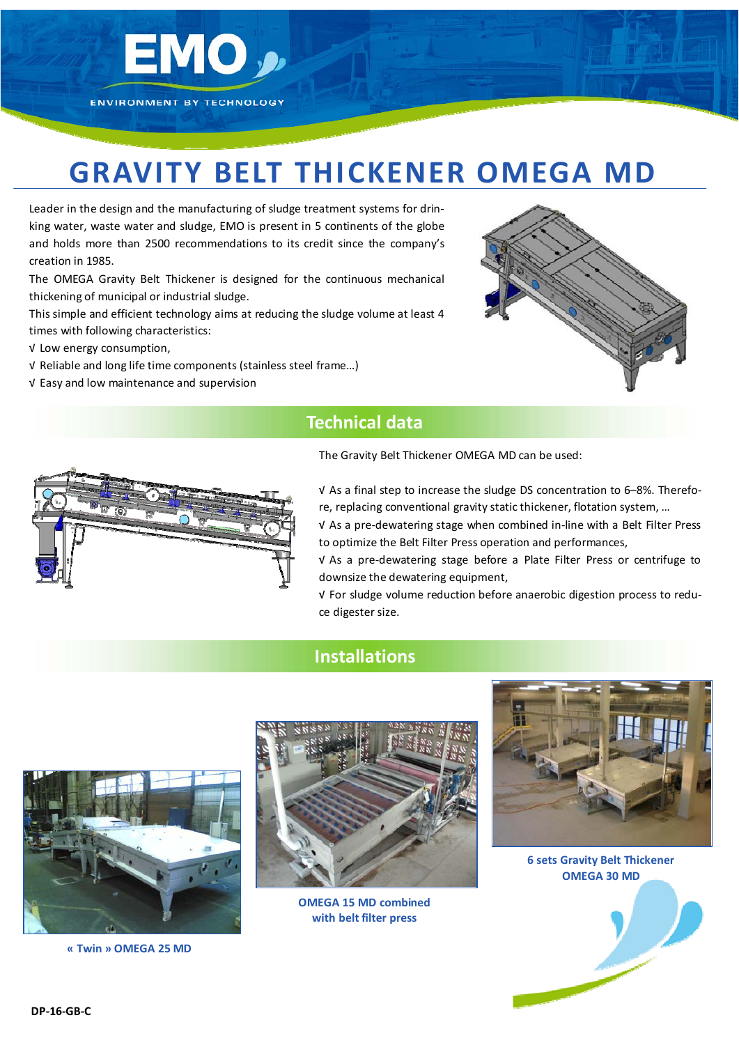

## **GRAVITY BELT THICKENER OMEGA MD**

Leader in the design and the manufacturing of sludge treatment systems for drin‐ king water, waste water and sludge, EMO is present in 5 continents of the globe and holds more than 2500 recommendations to its credit since the company's creation in 1985.

The OMEGA Gravity Belt Thickener is designed for the continuous mechanical thickening of municipal or industrial sludge.

This simple and efficient technology aims at reducing the sludge volume at least 4 times with following characteristics:

√ Low energy consumption,

- √ Reliable and long life time components (stainless steel frame…)
- √ Easy and low maintenance and supervision







The Gravity Belt Thickener OMEGA MD can be used:

√ As a final step to increase the sludge DS concentration to 6–8%. Therefo‐ re, replacing conventional gravity static thickener, flotation system, …

√ As a pre‐dewatering stage when combined in‐line with a Belt Filter Press to optimize the Belt Filter Press operation and performances,

√ As a pre‐dewatering stage before a Plate Filter Press or centrifuge to downsize the dewatering equipment,

√ For sludge volume reduction before anaerobic digestion process to redu‐ ce digester size.

## **Installations**



**« Twin » OMEGA 25 MD**



**OMEGA 15 MD combined with belt filter press**